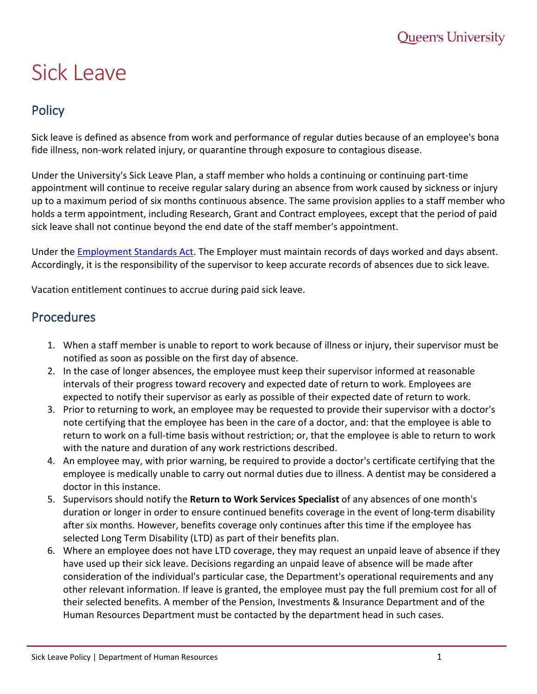## Sick Leave

## **Policy**

Sick leave is defined as absence from work and performance of regular duties because of an employee's bona fide illness, non-work related injury, or quarantine through exposure to contagious disease.

Under the University's Sick Leave Plan, a staff member who holds a continuing or continuing part-time appointment will continue to receive regular salary during an absence from work caused by sickness or injury up to a maximum period of six months continuous absence. The same provision applies to a staff member who holds a term appointment, including Research, Grant and Contract employees, except that the period of paid sick leave shall not continue beyond the end date of the staff member's appointment.

Under the [Employment Standards Act.](http://www.labour.gov.on.ca/english/es/) The Employer must maintain records of days worked and days absent. Accordingly, it is the responsibility of the supervisor to keep accurate records of absences due to sick leave.

Vacation entitlement continues to accrue during paid sick leave.

## **Procedures**

- 1. When a staff member is unable to report to work because of illness or injury, their supervisor must be notified as soon as possible on the first day of absence.
- 2. In the case of longer absences, the employee must keep their supervisor informed at reasonable intervals of their progress toward recovery and expected date of return to work. Employees are expected to notify their supervisor as early as possible of their expected date of return to work.
- 3. Prior to returning to work, an employee may be requested to provide their supervisor with a doctor's note certifying that the employee has been in the care of a doctor, and: that the employee is able to return to work on a full-time basis without restriction; or, that the employee is able to return to work with the nature and duration of any work restrictions described.
- 4. An employee may, with prior warning, be required to provide a doctor's certificate certifying that the employee is medically unable to carry out normal duties due to illness. A dentist may be considered a doctor in this instance.
- 5. Supervisors should notify the **Return to Work Services Specialist** of any absences of one month's duration or longer in order to ensure continued benefits coverage in the event of long-term disability after six months. However, benefits coverage only continues after this time if the employee has selected Long Term Disability (LTD) as part of their benefits plan.
- 6. Where an employee does not have LTD coverage, they may request an unpaid leave of absence if they have used up their sick leave. Decisions regarding an unpaid leave of absence will be made after consideration of the individual's particular case, the Department's operational requirements and any other relevant information. If leave is granted, the employee must pay the full premium cost for all of their selected benefits. A member of the Pension, Investments & Insurance Department and of the Human Resources Department must be contacted by the department head in such cases.